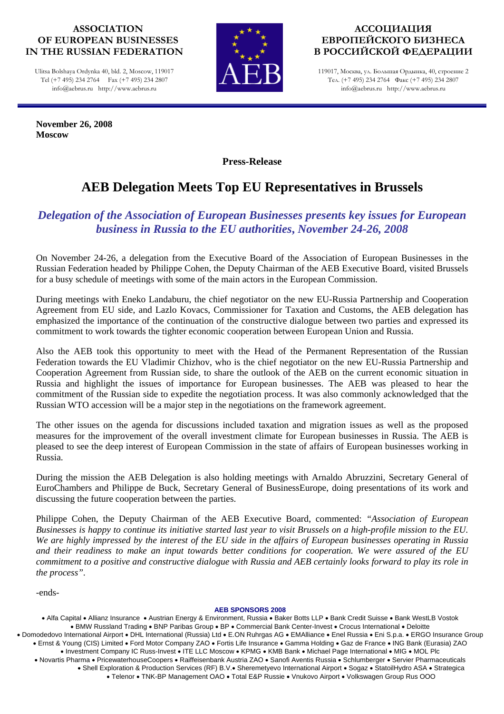#### **ASSOCIATION OF EUROPEAN BUSINESSES IN THE RUSSIAN FEDERATION**

Ulitsa Bolshaya Ordynka 40, bld. 2, Moscow, 119017 Tel (+7 495) 234 2764 Fax (+7 495) 234 2807 info@aebrus.ru http://www.aebrus.ru

**November 26, 2008 Moscow** 



### **АССОЦИАЦИЯ ЕВРОПЕЙСКОГО БИЗНЕСА В РОССИЙСКОЙ ФЕДЕРАЦИИ**

119017, Москва, ул. Большая Ордынка, 40, строение 2 Тел. (+7 495) 234 2764 Факс (+7 495) 234 2807 info@aebrus.ru http://www.aebrus.ru

**Press-Release** 

# **AEB Delegation Meets Top EU Representatives in Brussels**

# *Delegation of the Association of European Businesses presents key issues for European business in Russia to the EU authorities***,** *November 24-26, 2008*

On November 24-26, a delegation from the Executive Board of the Association of European Businesses in the Russian Federation headed by Philippe Cohen, the Deputy Chairman of the AEB Executive Board, visited Brussels for a busy schedule of meetings with some of the main actors in the European Commission.

During meetings with Eneko Landaburu, the chief negotiator on the new EU-Russia Partnership and Cooperation Agreement from EU side, and Lazlo Kovacs, Commissioner for Taxation and Customs, the AEB delegation has emphasized the importance of the continuation of the constructive dialogue between two parties and expressed its commitment to work towards the tighter economic cooperation between European Union and Russia.

Also the AEB took this opportunity to meet with the Head of the Permanent Representation of the Russian Federation towards the EU Vladimir Chizhov, who is the chief negotiator on the new EU-Russia Partnership and Cooperation Agreement from Russian side, to share the outlook of the AEB on the current economic situation in Russia and highlight the issues of importance for European businesses. The AEB was pleased to hear the commitment of the Russian side to expedite the negotiation process. It was also commonly acknowledged that the Russian WTO accession will be a major step in the negotiations on the framework agreement.

The other issues on the agenda for discussions included taxation and migration issues as well as the proposed measures for the improvement of the overall investment climate for European businesses in Russia. The AEB is pleased to see the deep interest of European Commission in the state of affairs of European businesses working in Russia.

During the mission the AEB Delegation is also holding meetings with Arnaldo Abruzzini, Secretary General of EuroChambers and Philippe de Buck, Secretary General of BusinessEurope, doing presentations of its work and discussing the future cooperation between the parties.

Philippe Cohen, the Deputy Chairman of the AEB Executive Board, commented: *"Association of European Businesses is happy to continue its initiative started last year to visit Brussels on a high-profile mission to the EU. We are highly impressed by the interest of the EU side in the affairs of European businesses operating in Russia and their readiness to make an input towards better conditions for cooperation. We were assured of the EU commitment to a positive and constructive dialogue with Russia and AEB certainly looks forward to play its role in the process".*

-ends-

#### **AEB SPONSORS 2008**

• Alfa Capital • Allianz Insurance • Austrian Energy & Environment, Russia • Baker Botts LLP • Bank Credit Suisse • Bank WestLB Vostok • BMW Russland Trading • BNP Paribas Group • BP • Commercial Bank Center-Invest • Crocus International • Deloitte • Domodedovo International Airport • DHL International (Russia) Ltd • E.ON Ruhrgas AG • EMAlliance • Enel Russia • Eni S.p.a. • ERGO Insurance Group • Ernst & Young (CIS) Limited • Ford Motor Company ZAO • Fortis Life Insurance • Gamma Holding • Gaz de France • ING Bank (Eurasia) ZAO • Investment Company IC Russ-Invest • ITE LLC Moscow • KPMG • KMB Bank • Michael Page International • MIG • MOL Plc • Novartis Pharma • PricewaterhouseCoopers • Raiffeisenbank Austria ZAO • Sanofi Aventis Russia • Schlumberger • Servier Pharmaceuticals • Shell Exploration & Production Services (RF) B.V.• Sheremetyevo International Airport • Sogaz • StatoilHydro ASA • Strategica • Telenor • TNK-BP Management OAO • Total E&P Russie • Vnukovo Airport • Volkswagen Group Rus OOO